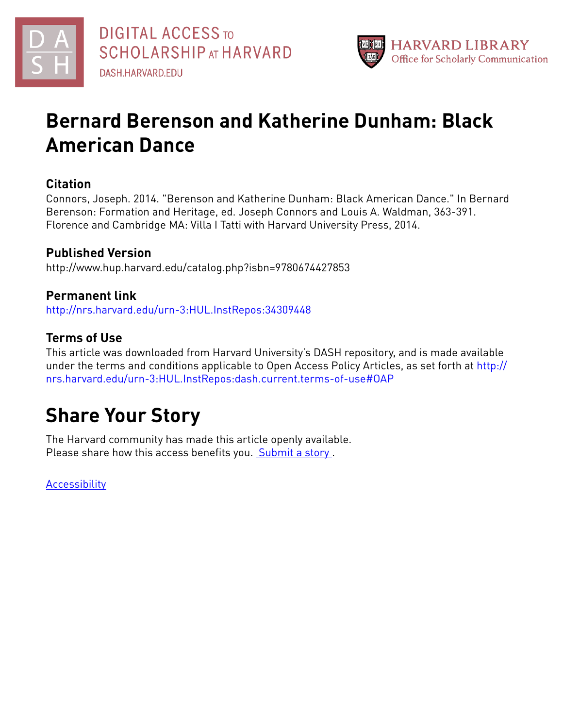



# **Bernard Berenson and Katherine Dunham: Black American Dance**

# **Citation**

Connors, Joseph. 2014. "Berenson and Katherine Dunham: Black American Dance." In Bernard Berenson: Formation and Heritage, ed. Joseph Connors and Louis A. Waldman, 363-391. Florence and Cambridge MA: Villa I Tatti with Harvard University Press, 2014.

# **Published Version**

http://www.hup.harvard.edu/catalog.php?isbn=9780674427853

# **Permanent link**

<http://nrs.harvard.edu/urn-3:HUL.InstRepos:34309448>

# **Terms of Use**

This article was downloaded from Harvard University's DASH repository, and is made available under the terms and conditions applicable to Open Access Policy Articles, as set forth at [http://](http://nrs.harvard.edu/urn-3:HUL.InstRepos:dash.current.terms-of-use#OAP) [nrs.harvard.edu/urn-3:HUL.InstRepos:dash.current.terms-of-use#OAP](http://nrs.harvard.edu/urn-3:HUL.InstRepos:dash.current.terms-of-use#OAP)

# **Share Your Story**

The Harvard community has made this article openly available. Please share how this access benefits you. [Submit](http://osc.hul.harvard.edu/dash/open-access-feedback?handle=&title=Bernard%20Berenson%20and%20Katherine%20Dunham:%20Black%20American%20Dance&community=1/1&collection=1/2&owningCollection1/2&harvardAuthors=5434b84e6f4910f8be7677baf23daf4a&departmentHistory%20of%20Art%20and%20Architecture) a story .

**[Accessibility](https://dash.harvard.edu/pages/accessibility)**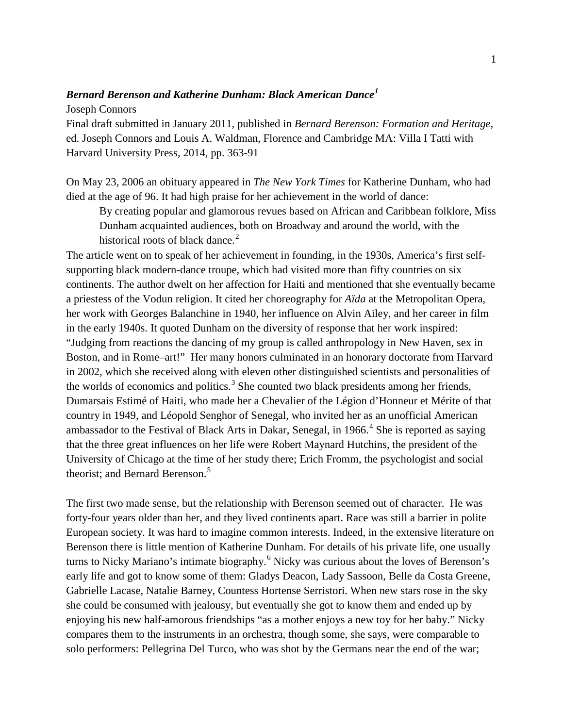## *Bernard Berenson and Katherine Dunham: Black American Dance[1](#page-25-0)*

Joseph Connors

Final draft submitted in January 2011, published in *Bernard Berenson: Formation and Heritage*, ed. Joseph Connors and Louis A. Waldman, Florence and Cambridge MA: Villa I Tatti with Harvard University Press, 2014, pp. 363-91

On May 23, 2006 an obituary appeared in *The New York Times* for Katherine Dunham, who had died at the age of 96. It had high praise for her achievement in the world of dance:

By creating popular and glamorous revues based on African and Caribbean folklore, Miss Dunham acquainted audiences, both on Broadway and around the world, with the historical roots of black dance. $2$ 

The article went on to speak of her achievement in founding, in the 1930s, America's first selfsupporting black modern-dance troupe, which had visited more than fifty countries on six continents. The author dwelt on her affection for Haiti and mentioned that she eventually became a priestess of the Vodun religion. It cited her choreography for *Aïda* at the Metropolitan Opera, her work with Georges Balanchine in 1940, her influence on Alvin Ailey, and her career in film in the early 1940s. It quoted Dunham on the diversity of response that her work inspired: "Judging from reactions the dancing of my group is called anthropology in New Haven, sex in Boston, and in Rome–art!" Her many honors culminated in an honorary doctorate from Harvard in 2002, which she received along with eleven other distinguished scientists and personalities of the worlds of economics and politics.<sup>[3](#page-25-2)</sup> She counted two black presidents among her friends, Dumarsais Estimé of Haiti, who made her a Chevalier of the Légion d'Honneur et Mérite of that country in 1949, and Léopold Senghor of Senegal, who invited her as an unofficial American ambassador to the Festival of Black Arts in Dakar, Senegal, in 1966.<sup>[4](#page-25-3)</sup> She is reported as saying that the three great influences on her life were Robert Maynard Hutchins, the president of the University of Chicago at the time of her study there; Erich Fromm, the psychologist and social theorist; and Bernard Berenson.<sup>[5](#page-25-4)</sup>

The first two made sense, but the relationship with Berenson seemed out of character. He was forty-four years older than her, and they lived continents apart. Race was still a barrier in polite European society. It was hard to imagine common interests. Indeed, in the extensive literature on Berenson there is little mention of Katherine Dunham. For details of his private life, one usually turns to Nicky Mariano's intimate biography.<sup>[6](#page-25-5)</sup> Nicky was curious about the loves of Berenson's early life and got to know some of them: Gladys Deacon, Lady Sassoon, Belle da Costa Greene, Gabrielle Lacase, Natalie Barney, Countess Hortense Serristori. When new stars rose in the sky she could be consumed with jealousy, but eventually she got to know them and ended up by enjoying his new half-amorous friendships "as a mother enjoys a new toy for her baby." Nicky compares them to the instruments in an orchestra, though some, she says, were comparable to solo performers: Pellegrina Del Turco, who was shot by the Germans near the end of the war;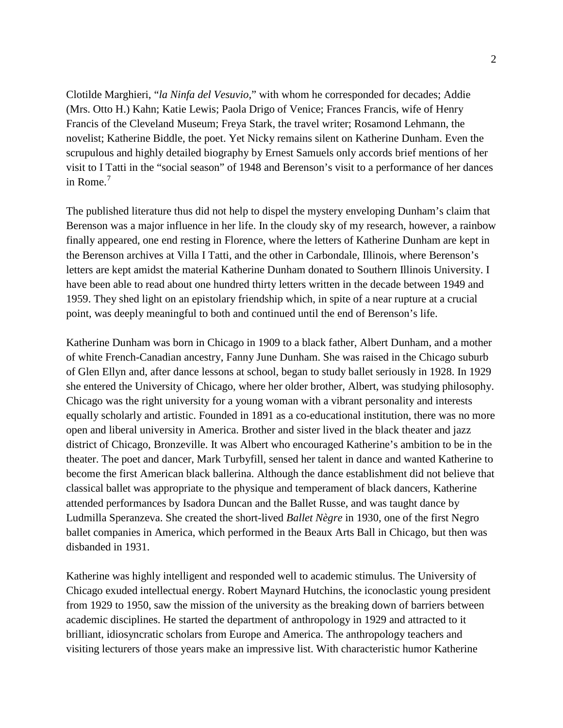Clotilde Marghieri, "*la Ninfa del Vesuvio,*" with whom he corresponded for decades; Addie (Mrs. Otto H.) Kahn; Katie Lewis; Paola Drigo of Venice; Frances Francis, wife of Henry Francis of the Cleveland Museum; Freya Stark, the travel writer; Rosamond Lehmann, the novelist; Katherine Biddle, the poet. Yet Nicky remains silent on Katherine Dunham. Even the scrupulous and highly detailed biography by Ernest Samuels only accords brief mentions of her visit to I Tatti in the "social season" of 1948 and Berenson's visit to a performance of her dances in Rome. $<sup>7</sup>$  $<sup>7</sup>$  $<sup>7</sup>$ </sup>

The published literature thus did not help to dispel the mystery enveloping Dunham's claim that Berenson was a major influence in her life. In the cloudy sky of my research, however, a rainbow finally appeared, one end resting in Florence, where the letters of Katherine Dunham are kept in the Berenson archives at Villa I Tatti, and the other in Carbondale, Illinois, where Berenson's letters are kept amidst the material Katherine Dunham donated to Southern Illinois University. I have been able to read about one hundred thirty letters written in the decade between 1949 and 1959. They shed light on an epistolary friendship which, in spite of a near rupture at a crucial point, was deeply meaningful to both and continued until the end of Berenson's life.

Katherine Dunham was born in Chicago in 1909 to a black father, Albert Dunham, and a mother of white French-Canadian ancestry, Fanny June Dunham. She was raised in the Chicago suburb of Glen Ellyn and, after dance lessons at school, began to study ballet seriously in 1928. In 1929 she entered the University of Chicago, where her older brother, Albert, was studying philosophy. Chicago was the right university for a young woman with a vibrant personality and interests equally scholarly and artistic. Founded in 1891 as a co-educational institution, there was no more open and liberal university in America. Brother and sister lived in the black theater and jazz district of Chicago, Bronzeville. It was Albert who encouraged Katherine's ambition to be in the theater. The poet and dancer, Mark Turbyfill, sensed her talent in dance and wanted Katherine to become the first American black ballerina. Although the dance establishment did not believe that classical ballet was appropriate to the physique and temperament of black dancers, Katherine attended performances by Isadora Duncan and the Ballet Russe, and was taught dance by Ludmilla Speranzeva. She created the short-lived *Ballet Nègre* in 1930, one of the first Negro ballet companies in America, which performed in the Beaux Arts Ball in Chicago, but then was disbanded in 1931.

Katherine was highly intelligent and responded well to academic stimulus. The University of Chicago exuded intellectual energy. Robert Maynard Hutchins, the iconoclastic young president from 1929 to 1950, saw the mission of the university as the breaking down of barriers between academic disciplines. He started the department of anthropology in 1929 and attracted to it brilliant, idiosyncratic scholars from Europe and America. The anthropology teachers and visiting lecturers of those years make an impressive list. With characteristic humor Katherine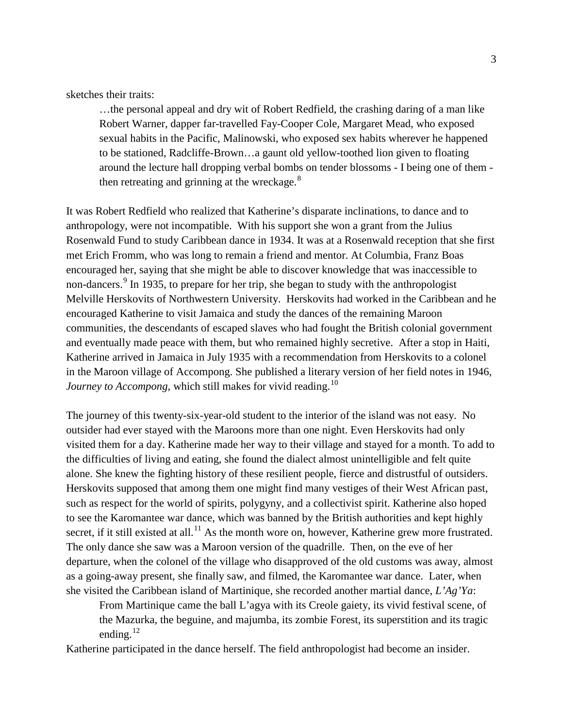sketches their traits:

…the personal appeal and dry wit of Robert Redfield, the crashing daring of a man like Robert Warner, dapper far-travelled Fay-Cooper Cole, Margaret Mead, who exposed sexual habits in the Pacific, Malinowski, who exposed sex habits wherever he happened to be stationed, Radcliffe-Brown…a gaunt old yellow-toothed lion given to floating around the lecture hall dropping verbal bombs on tender blossoms - I being one of them then retreating and grinning at the wreckage. $8$ 

It was Robert Redfield who realized that Katherine's disparate inclinations, to dance and to anthropology, were not incompatible. With his support she won a grant from the Julius Rosenwald Fund to study Caribbean dance in 1934. It was at a Rosenwald reception that she first met Erich Fromm, who was long to remain a friend and mentor. At Columbia, Franz Boas encouraged her, saying that she might be able to discover knowledge that was inaccessible to non-dancers.<sup>[9](#page-25-8)</sup> In 1935, to prepare for her trip, she began to study with the anthropologist Melville Herskovits of Northwestern University. Herskovits had worked in the Caribbean and he encouraged Katherine to visit Jamaica and study the dances of the remaining Maroon communities, the descendants of escaped slaves who had fought the British colonial government and eventually made peace with them, but who remained highly secretive. After a stop in Haiti, Katherine arrived in Jamaica in July 1935 with a recommendation from Herskovits to a colonel in the Maroon village of Accompong. She published a literary version of her field notes in 1946, *Journey to Accompong*, which still makes for vivid reading. [10](#page-25-9)

The journey of this twenty-six-year-old student to the interior of the island was not easy. No outsider had ever stayed with the Maroons more than one night. Even Herskovits had only visited them for a day. Katherine made her way to their village and stayed for a month. To add to the difficulties of living and eating, she found the dialect almost unintelligible and felt quite alone. She knew the fighting history of these resilient people, fierce and distrustful of outsiders. Herskovits supposed that among them one might find many vestiges of their West African past, such as respect for the world of spirits, polygyny, and a collectivist spirit. Katherine also hoped to see the Karomantee war dance, which was banned by the British authorities and kept highly secret, if it still existed at all.<sup>[11](#page-25-10)</sup> As the month wore on, however, Katherine grew more frustrated. The only dance she saw was a Maroon version of the quadrille. Then, on the eve of her departure, when the colonel of the village who disapproved of the old customs was away, almost as a going-away present, she finally saw, and filmed, the Karomantee war dance. Later, when she visited the Caribbean island of Martinique, she recorded another martial dance, *L'Ag'Ya*:

From Martinique came the ball L'agya with its Creole gaiety, its vivid festival scene, of the Mazurka, the beguine, and majumba, its zombie Forest, its superstition and its tragic ending.<sup>[12](#page-25-11)</sup>

Katherine participated in the dance herself. The field anthropologist had become an insider.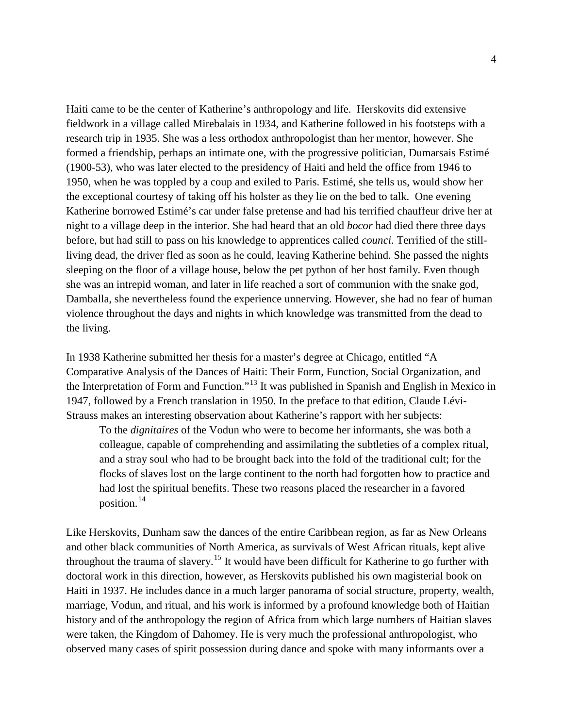Haiti came to be the center of Katherine's anthropology and life. Herskovits did extensive fieldwork in a village called Mirebalais in 1934, and Katherine followed in his footsteps with a research trip in 1935. She was a less orthodox anthropologist than her mentor, however. She formed a friendship, perhaps an intimate one, with the progressive politician, Dumarsais Estimé (1900-53), who was later elected to the presidency of Haiti and held the office from 1946 to 1950, when he was toppled by a coup and exiled to Paris. Estimé, she tells us, would show her the exceptional courtesy of taking off his holster as they lie on the bed to talk. One evening Katherine borrowed Estimé's car under false pretense and had his terrified chauffeur drive her at night to a village deep in the interior. She had heard that an old *bocor* had died there three days before, but had still to pass on his knowledge to apprentices called *counci*. Terrified of the stillliving dead, the driver fled as soon as he could, leaving Katherine behind. She passed the nights sleeping on the floor of a village house, below the pet python of her host family. Even though she was an intrepid woman, and later in life reached a sort of communion with the snake god, Damballa, she nevertheless found the experience unnerving. However, she had no fear of human violence throughout the days and nights in which knowledge was transmitted from the dead to the living.

In 1938 Katherine submitted her thesis for a master's degree at Chicago, entitled "A Comparative Analysis of the Dances of Haiti: Their Form, Function, Social Organization, and the Interpretation of Form and Function."<sup>[13](#page-25-12)</sup> It was published in Spanish and English in Mexico in 1947, followed by a French translation in 1950. In the preface to that edition, Claude Lévi-Strauss makes an interesting observation about Katherine's rapport with her subjects:

To the *dignitaires* of the Vodun who were to become her informants, she was both a colleague, capable of comprehending and assimilating the subtleties of a complex ritual, and a stray soul who had to be brought back into the fold of the traditional cult; for the flocks of slaves lost on the large continent to the north had forgotten how to practice and had lost the spiritual benefits. These two reasons placed the researcher in a favored position. [14](#page-25-13)

Like Herskovits, Dunham saw the dances of the entire Caribbean region, as far as New Orleans and other black communities of North America, as survivals of West African rituals, kept alive throughout the trauma of slavery.[15](#page-26-0) It would have been difficult for Katherine to go further with doctoral work in this direction, however, as Herskovits published his own magisterial book on Haiti in 1937. He includes dance in a much larger panorama of social structure, property, wealth, marriage, Vodun, and ritual, and his work is informed by a profound knowledge both of Haitian history and of the anthropology the region of Africa from which large numbers of Haitian slaves were taken, the Kingdom of Dahomey. He is very much the professional anthropologist, who observed many cases of spirit possession during dance and spoke with many informants over a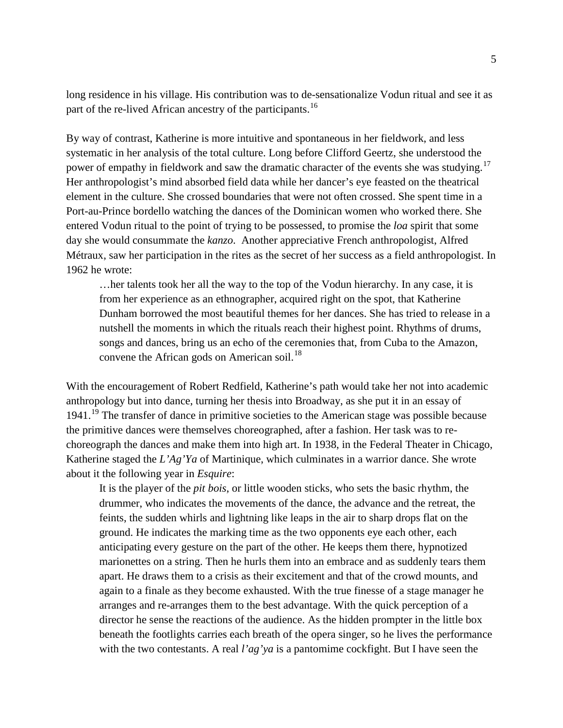long residence in his village. His contribution was to de-sensationalize Vodun ritual and see it as part of the re-lived African ancestry of the participants.<sup>[16](#page-26-1)</sup>

By way of contrast, Katherine is more intuitive and spontaneous in her fieldwork, and less systematic in her analysis of the total culture. Long before Clifford Geertz, she understood the power of empathy in fieldwork and saw the dramatic character of the events she was studying.<sup>[17](#page-26-2)</sup> Her anthropologist's mind absorbed field data while her dancer's eye feasted on the theatrical element in the culture. She crossed boundaries that were not often crossed. She spent time in a Port-au-Prince bordello watching the dances of the Dominican women who worked there. She entered Vodun ritual to the point of trying to be possessed, to promise the *loa* spirit that some day she would consummate the *kanzo*. Another appreciative French anthropologist, Alfred Métraux, saw her participation in the rites as the secret of her success as a field anthropologist. In 1962 he wrote:

…her talents took her all the way to the top of the Vodun hierarchy. In any case, it is from her experience as an ethnographer, acquired right on the spot, that Katherine Dunham borrowed the most beautiful themes for her dances. She has tried to release in a nutshell the moments in which the rituals reach their highest point. Rhythms of drums, songs and dances, bring us an echo of the ceremonies that, from Cuba to the Amazon, convene the African gods on American soil.<sup>[18](#page-26-3)</sup>

With the encouragement of Robert Redfield, Katherine's path would take her not into academic anthropology but into dance, turning her thesis into Broadway, as she put it in an essay of [19](#page-26-4)41.<sup>19</sup> The transfer of dance in primitive societies to the American stage was possible because the primitive dances were themselves choreographed, after a fashion. Her task was to rechoreograph the dances and make them into high art. In 1938, in the Federal Theater in Chicago, Katherine staged the *L'Ag'Ya* of Martinique, which culminates in a warrior dance. She wrote about it the following year in *Esquire*:

It is the player of the *pit bois*, or little wooden sticks, who sets the basic rhythm, the drummer, who indicates the movements of the dance, the advance and the retreat, the feints, the sudden whirls and lightning like leaps in the air to sharp drops flat on the ground. He indicates the marking time as the two opponents eye each other, each anticipating every gesture on the part of the other. He keeps them there, hypnotized marionettes on a string. Then he hurls them into an embrace and as suddenly tears them apart. He draws them to a crisis as their excitement and that of the crowd mounts, and again to a finale as they become exhausted. With the true finesse of a stage manager he arranges and re-arranges them to the best advantage. With the quick perception of a director he sense the reactions of the audience. As the hidden prompter in the little box beneath the footlights carries each breath of the opera singer, so he lives the performance with the two contestants. A real *l'ag'ya* is a pantomime cockfight. But I have seen the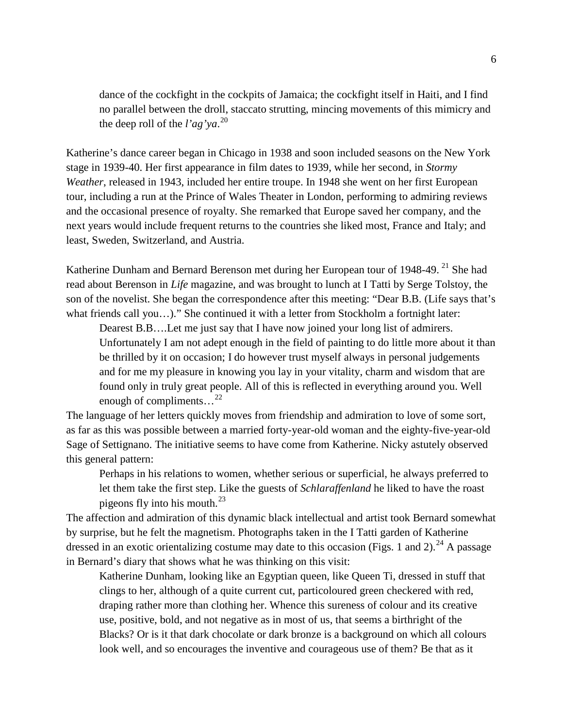dance of the cockfight in the cockpits of Jamaica; the cockfight itself in Haiti, and I find no parallel between the droll, staccato strutting, mincing movements of this mimicry and the deep roll of the *l'ag'ya*. [20](#page-26-5)

Katherine's dance career began in Chicago in 1938 and soon included seasons on the New York stage in 1939-40. Her first appearance in film dates to 1939, while her second, in *Stormy Weather*, released in 1943, included her entire troupe. In 1948 she went on her first European tour, including a run at the Prince of Wales Theater in London, performing to admiring reviews and the occasional presence of royalty. She remarked that Europe saved her company, and the next years would include frequent returns to the countries she liked most, France and Italy; and least, Sweden, Switzerland, and Austria.

Katherine Dunham and Bernard Berenson met during her European tour of 1948-49.<sup>[21](#page-26-6)</sup> She had read about Berenson in *Life* magazine, and was brought to lunch at I Tatti by Serge Tolstoy, the son of the novelist. She began the correspondence after this meeting: "Dear B.B. (Life says that's what friends call you...)." She continued it with a letter from Stockholm a fortnight later:

Dearest B.B….Let me just say that I have now joined your long list of admirers. Unfortunately I am not adept enough in the field of painting to do little more about it than be thrilled by it on occasion; I do however trust myself always in personal judgements and for me my pleasure in knowing you lay in your vitality, charm and wisdom that are found only in truly great people. All of this is reflected in everything around you. Well enough of compliments...<sup>[22](#page-26-7)</sup>

The language of her letters quickly moves from friendship and admiration to love of some sort, as far as this was possible between a married forty-year-old woman and the eighty-five-year-old Sage of Settignano. The initiative seems to have come from Katherine. Nicky astutely observed this general pattern:

Perhaps in his relations to women, whether serious or superficial, he always preferred to let them take the first step. Like the guests of *Schlaraffenland* he liked to have the roast pigeons fly into his mouth. $^{23}$  $^{23}$  $^{23}$ 

The affection and admiration of this dynamic black intellectual and artist took Bernard somewhat by surprise, but he felt the magnetism. Photographs taken in the I Tatti garden of Katherine dressed in an exotic orientalizing costume may date to this occasion (Figs. 1 and 2).<sup>[24](#page-26-9)</sup> A passage in Bernard's diary that shows what he was thinking on this visit:

Katherine Dunham, looking like an Egyptian queen, like Queen Ti, dressed in stuff that clings to her, although of a quite current cut, particoloured green checkered with red, draping rather more than clothing her. Whence this sureness of colour and its creative use, positive, bold, and not negative as in most of us, that seems a birthright of the Blacks? Or is it that dark chocolate or dark bronze is a background on which all colours look well, and so encourages the inventive and courageous use of them? Be that as it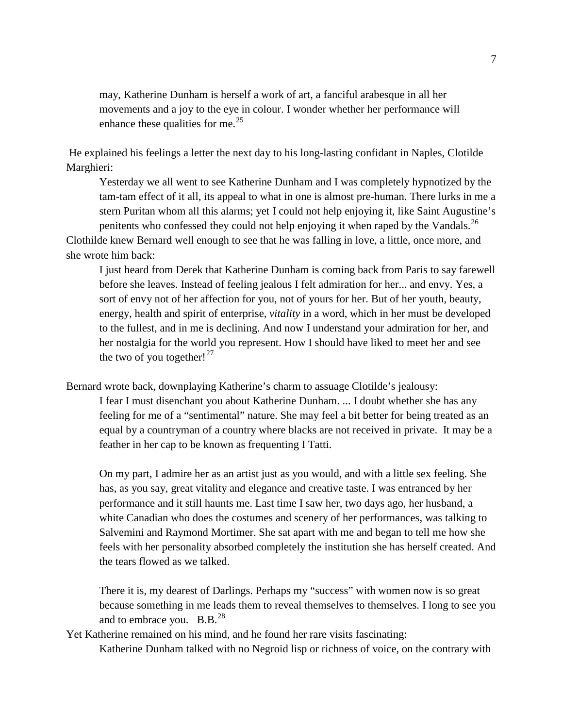may, Katherine Dunham is herself a work of art, a fanciful arabesque in all her movements and a joy to the eye in colour. I wonder whether her performance will enhance these qualities for me. $^{25}$  $^{25}$  $^{25}$ 

He explained his feelings a letter the next day to his long-lasting confidant in Naples, Clotilde Marghieri:

Yesterday we all went to see Katherine Dunham and I was completely hypnotized by the tam-tam effect of it all, its appeal to what in one is almost pre-human. There lurks in me a stern Puritan whom all this alarms; yet I could not help enjoying it, like Saint Augustine's penitents who confessed they could not help enjoying it when raped by the Vandals.<sup>[26](#page-26-11)</sup>

Clothilde knew Bernard well enough to see that he was falling in love, a little, once more, and she wrote him back:

I just heard from Derek that Katherine Dunham is coming back from Paris to say farewell before she leaves. Instead of feeling jealous I felt admiration for her... and envy. Yes, a sort of envy not of her affection for you, not of yours for her. But of her youth, beauty, energy, health and spirit of enterprise, *vitality* in a word, which in her must be developed to the fullest, and in me is declining. And now I understand your admiration for her, and her nostalgia for the world you represent. How I should have liked to meet her and see the two of you together! $27$ 

Bernard wrote back, downplaying Katherine's charm to assuage Clotilde's jealousy:

I fear I must disenchant you about Katherine Dunham. ... I doubt whether she has any feeling for me of a "sentimental" nature. She may feel a bit better for being treated as an equal by a countryman of a country where blacks are not received in private. It may be a feather in her cap to be known as frequenting I Tatti.

On my part, I admire her as an artist just as you would, and with a little sex feeling. She has, as you say, great vitality and elegance and creative taste. I was entranced by her performance and it still haunts me. Last time I saw her, two days ago, her husband, a white Canadian who does the costumes and scenery of her performances, was talking to Salvemini and Raymond Mortimer. She sat apart with me and began to tell me how she feels with her personality absorbed completely the institution she has herself created. And the tears flowed as we talked.

There it is, my dearest of Darlings. Perhaps my "success" with women now is so great because something in me leads them to reveal themselves to themselves. I long to see you and to embrace you.  $B.B.^{28}$  $B.B.^{28}$  $B.B.^{28}$ 

Yet Katherine remained on his mind, and he found her rare visits fascinating: Katherine Dunham talked with no Negroid lisp or richness of voice, on the contrary with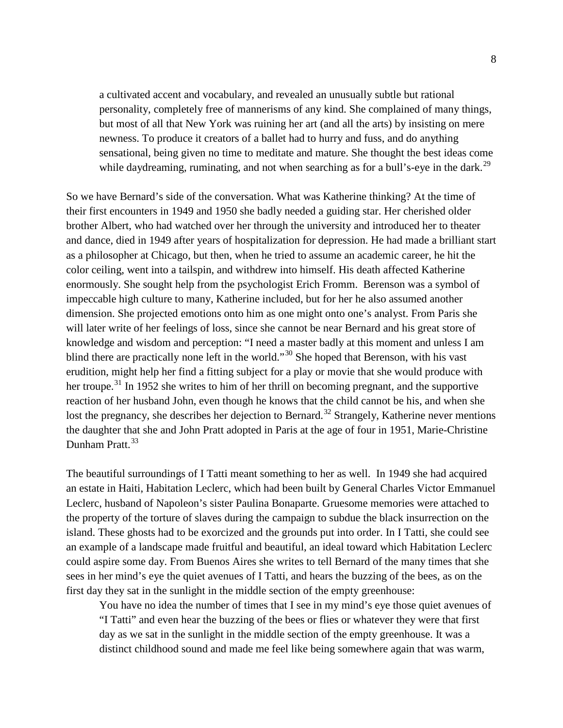a cultivated accent and vocabulary, and revealed an unusually subtle but rational personality, completely free of mannerisms of any kind. She complained of many things, but most of all that New York was ruining her art (and all the arts) by insisting on mere newness. To produce it creators of a ballet had to hurry and fuss, and do anything sensational, being given no time to meditate and mature. She thought the best ideas come while daydreaming, ruminating, and not when searching as for a bull's-eye in the dark.<sup>[29](#page-26-14)</sup>

So we have Bernard's side of the conversation. What was Katherine thinking? At the time of their first encounters in 1949 and 1950 she badly needed a guiding star. Her cherished older brother Albert, who had watched over her through the university and introduced her to theater and dance, died in 1949 after years of hospitalization for depression. He had made a brilliant start as a philosopher at Chicago, but then, when he tried to assume an academic career, he hit the color ceiling, went into a tailspin, and withdrew into himself. His death affected Katherine enormously. She sought help from the psychologist Erich Fromm. Berenson was a symbol of impeccable high culture to many, Katherine included, but for her he also assumed another dimension. She projected emotions onto him as one might onto one's analyst. From Paris she will later write of her feelings of loss, since she cannot be near Bernard and his great store of knowledge and wisdom and perception: "I need a master badly at this moment and unless I am blind there are practically none left in the world."<sup>[30](#page-26-15)</sup> She hoped that Berenson, with his vast erudition, might help her find a fitting subject for a play or movie that she would produce with her troupe.<sup>[31](#page-26-16)</sup> In 1952 she writes to him of her thrill on becoming pregnant, and the supportive reaction of her husband John, even though he knows that the child cannot be his, and when she lost the pregnancy, she describes her dejection to Bernard.<sup>[32](#page-26-17)</sup> Strangely, Katherine never mentions the daughter that she and John Pratt adopted in Paris at the age of four in 1951, Marie-Christine Dunham Pratt.<sup>[33](#page-26-18)</sup>

The beautiful surroundings of I Tatti meant something to her as well. In 1949 she had acquired an estate in Haiti, Habitation Leclerc, which had been built by General Charles Victor Emmanuel Leclerc, husband of Napoleon's sister Paulina Bonaparte. Gruesome memories were attached to the property of the torture of slaves during the campaign to subdue the black insurrection on the island. These ghosts had to be exorcized and the grounds put into order. In I Tatti, she could see an example of a landscape made fruitful and beautiful, an ideal toward which Habitation Leclerc could aspire some day. From Buenos Aires she writes to tell Bernard of the many times that she sees in her mind's eye the quiet avenues of I Tatti, and hears the buzzing of the bees, as on the first day they sat in the sunlight in the middle section of the empty greenhouse:

You have no idea the number of times that I see in my mind's eye those quiet avenues of "I Tatti" and even hear the buzzing of the bees or flies or whatever they were that first day as we sat in the sunlight in the middle section of the empty greenhouse. It was a distinct childhood sound and made me feel like being somewhere again that was warm,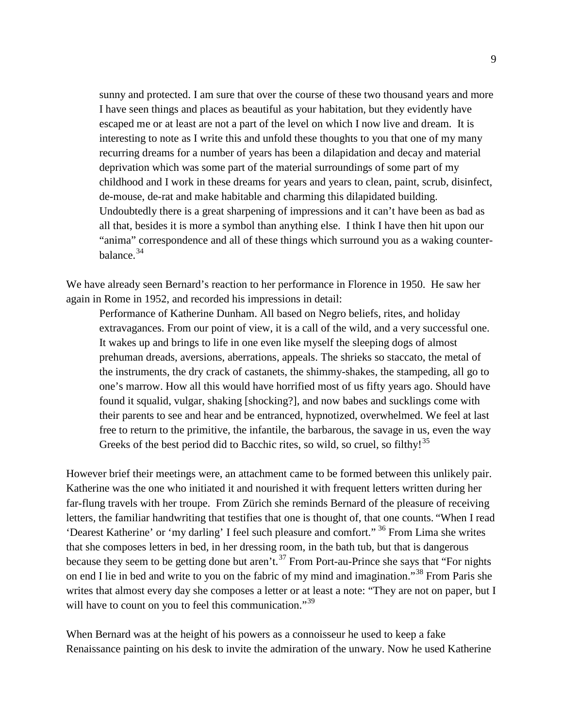sunny and protected. I am sure that over the course of these two thousand years and more I have seen things and places as beautiful as your habitation, but they evidently have escaped me or at least are not a part of the level on which I now live and dream. It is interesting to note as I write this and unfold these thoughts to you that one of my many recurring dreams for a number of years has been a dilapidation and decay and material deprivation which was some part of the material surroundings of some part of my childhood and I work in these dreams for years and years to clean, paint, scrub, disinfect, de-mouse, de-rat and make habitable and charming this dilapidated building. Undoubtedly there is a great sharpening of impressions and it can't have been as bad as all that, besides it is more a symbol than anything else. I think I have then hit upon our "anima" correspondence and all of these things which surround you as a waking counterbalance. [34](#page-26-19)

We have already seen Bernard's reaction to her performance in Florence in 1950. He saw her again in Rome in 1952, and recorded his impressions in detail:

Performance of Katherine Dunham. All based on Negro beliefs, rites, and holiday extravagances. From our point of view, it is a call of the wild, and a very successful one. It wakes up and brings to life in one even like myself the sleeping dogs of almost prehuman dreads, aversions, aberrations, appeals. The shrieks so staccato, the metal of the instruments, the dry crack of castanets, the shimmy-shakes, the stampeding, all go to one's marrow. How all this would have horrified most of us fifty years ago. Should have found it squalid, vulgar, shaking [shocking?], and now babes and sucklings come with their parents to see and hear and be entranced, hypnotized, overwhelmed. We feel at last free to return to the primitive, the infantile, the barbarous, the savage in us, even the way Greeks of the best period did to Bacchic rites, so wild, so cruel, so filthy!<sup>[35](#page-26-20)</sup>

However brief their meetings were, an attachment came to be formed between this unlikely pair. Katherine was the one who initiated it and nourished it with frequent letters written during her far-flung travels with her troupe. From Zürich she reminds Bernard of the pleasure of receiving letters, the familiar handwriting that testifies that one is thought of, that one counts. "When I read 'Dearest Katherine' or 'my darling' I feel such pleasure and comfort." [36](#page-26-21) From Lima she writes that she composes letters in bed, in her dressing room, in the bath tub, but that is dangerous because they seem to be getting done but aren't.<sup>[37](#page-26-22)</sup> From Port-au-Prince she says that "For nights" on end I lie in bed and write to you on the fabric of my mind and imagination."[38](#page-26-23) From Paris she writes that almost every day she composes a letter or at least a note: "They are not on paper, but I will have to count on you to feel this communication."<sup>[39](#page-26-24)</sup>

When Bernard was at the height of his powers as a connoisseur he used to keep a fake Renaissance painting on his desk to invite the admiration of the unwary. Now he used Katherine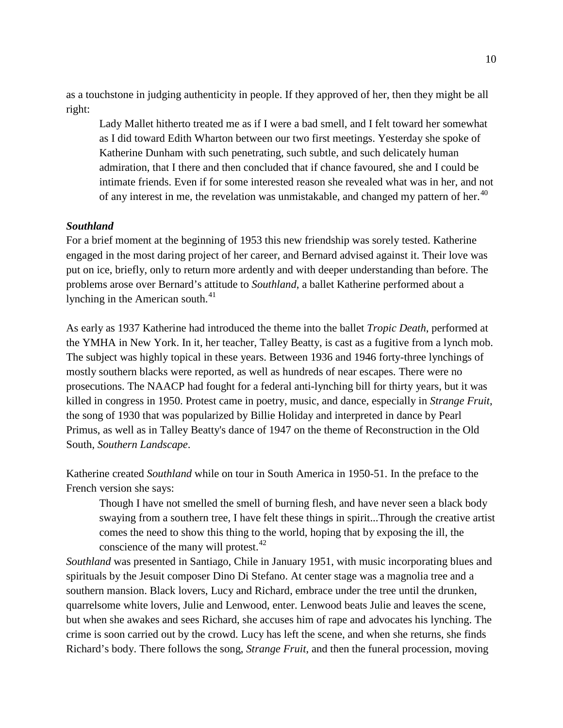as a touchstone in judging authenticity in people. If they approved of her, then they might be all right:

Lady Mallet hitherto treated me as if I were a bad smell, and I felt toward her somewhat as I did toward Edith Wharton between our two first meetings. Yesterday she spoke of Katherine Dunham with such penetrating, such subtle, and such delicately human admiration, that I there and then concluded that if chance favoured, she and I could be intimate friends. Even if for some interested reason she revealed what was in her, and not of any interest in me, the revelation was unmistakable, and changed my pattern of her.<sup>[40](#page-26-25)</sup>

## *Southland*

For a brief moment at the beginning of 1953 this new friendship was sorely tested. Katherine engaged in the most daring project of her career, and Bernard advised against it. Their love was put on ice, briefly, only to return more ardently and with deeper understanding than before. The problems arose over Bernard's attitude to *Southland*, a ballet Katherine performed about a lynching in the American south.<sup>[41](#page-26-26)</sup>

As early as 1937 Katherine had introduced the theme into the ballet *Tropic Death*, performed at the YMHA in New York. In it, her teacher, Talley Beatty, is cast as a fugitive from a lynch mob. The subject was highly topical in these years. Between 1936 and 1946 forty-three lynchings of mostly southern blacks were reported, as well as hundreds of near escapes. There were no prosecutions. The NAACP had fought for a federal anti-lynching bill for thirty years, but it was killed in congress in 1950. Protest came in poetry, music, and dance, especially in *Strange Fruit*, the song of 1930 that was popularized by Billie Holiday and interpreted in dance by Pearl Primus, as well as in Talley Beatty's dance of 1947 on the theme of Reconstruction in the Old South, *Southern Landscape*.

Katherine created *Southland* while on tour in South America in 1950-51. In the preface to the French version she says:

Though I have not smelled the smell of burning flesh, and have never seen a black body swaying from a southern tree, I have felt these things in spirit...Through the creative artist comes the need to show this thing to the world, hoping that by exposing the ill, the conscience of the many will protest. $42$ 

*Southland* was presented in Santiago, Chile in January 1951, with music incorporating blues and spirituals by the Jesuit composer Dino Di Stefano. At center stage was a magnolia tree and a southern mansion. Black lovers, Lucy and Richard, embrace under the tree until the drunken, quarrelsome white lovers, Julie and Lenwood, enter. Lenwood beats Julie and leaves the scene, but when she awakes and sees Richard, she accuses him of rape and advocates his lynching. The crime is soon carried out by the crowd. Lucy has left the scene, and when she returns, she finds Richard's body. There follows the song, *Strange Fruit*, and then the funeral procession, moving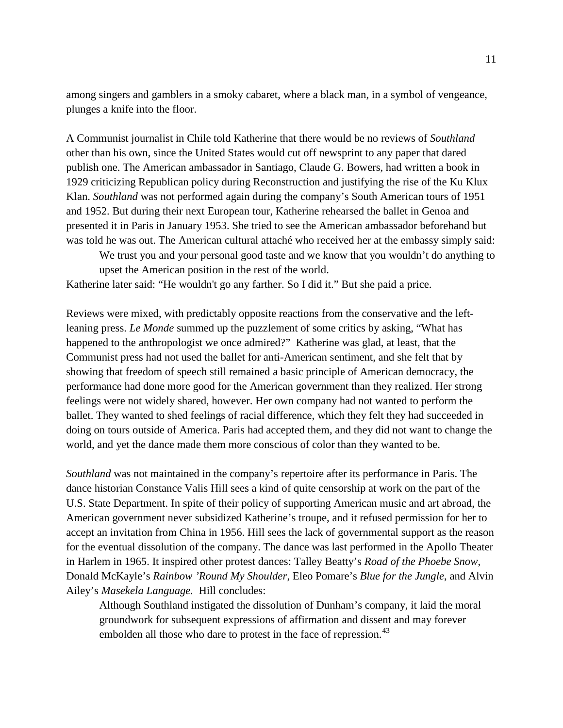among singers and gamblers in a smoky cabaret, where a black man, in a symbol of vengeance, plunges a knife into the floor.

A Communist journalist in Chile told Katherine that there would be no reviews of *Southland* other than his own, since the United States would cut off newsprint to any paper that dared publish one. The American ambassador in Santiago, Claude G. Bowers, had written a book in 1929 criticizing Republican policy during Reconstruction and justifying the rise of the Ku Klux Klan. *Southland* was not performed again during the company's South American tours of 1951 and 1952. But during their next European tour, Katherine rehearsed the ballet in Genoa and presented it in Paris in January 1953. She tried to see the American ambassador beforehand but was told he was out. The American cultural attaché who received her at the embassy simply said:

We trust you and your personal good taste and we know that you wouldn't do anything to upset the American position in the rest of the world.

Katherine later said: "He wouldn't go any farther. So I did it." But she paid a price.

Reviews were mixed, with predictably opposite reactions from the conservative and the leftleaning press. *Le Monde* summed up the puzzlement of some critics by asking, "What has happened to the anthropologist we once admired?" Katherine was glad, at least, that the Communist press had not used the ballet for anti-American sentiment, and she felt that by showing that freedom of speech still remained a basic principle of American democracy, the performance had done more good for the American government than they realized. Her strong feelings were not widely shared, however. Her own company had not wanted to perform the ballet. They wanted to shed feelings of racial difference, which they felt they had succeeded in doing on tours outside of America. Paris had accepted them, and they did not want to change the world, and yet the dance made them more conscious of color than they wanted to be.

*Southland* was not maintained in the company's repertoire after its performance in Paris. The dance historian Constance Valis Hill sees a kind of quite censorship at work on the part of the U.S. State Department. In spite of their policy of supporting American music and art abroad, the American government never subsidized Katherine's troupe, and it refused permission for her to accept an invitation from China in 1956. Hill sees the lack of governmental support as the reason for the eventual dissolution of the company. The dance was last performed in the Apollo Theater in Harlem in 1965. It inspired other protest dances: Talley Beatty's *Road of the Phoebe Snow*, Donald McKayle's *Rainbow 'Round My Shoulder*, Eleo Pomare's *Blue for the Jungle*, and Alvin Ailey's *Masekela Language.* Hill concludes:

Although Southland instigated the dissolution of Dunham's company, it laid the moral groundwork for subsequent expressions of affirmation and dissent and may forever embolden all those who dare to protest in the face of repression.<sup>[43](#page-27-0)</sup>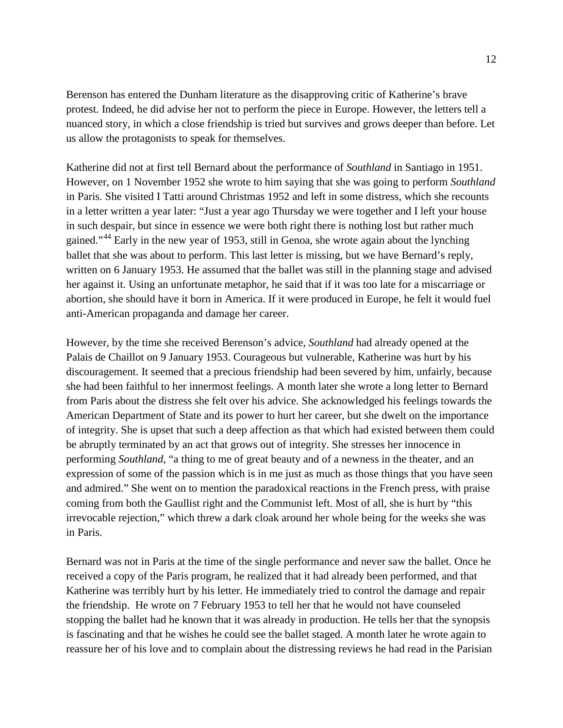Berenson has entered the Dunham literature as the disapproving critic of Katherine's brave protest. Indeed, he did advise her not to perform the piece in Europe. However, the letters tell a nuanced story, in which a close friendship is tried but survives and grows deeper than before. Let us allow the protagonists to speak for themselves.

Katherine did not at first tell Bernard about the performance of *Southland* in Santiago in 1951. However, on 1 November 1952 she wrote to him saying that she was going to perform *Southland* in Paris. She visited I Tatti around Christmas 1952 and left in some distress, which she recounts in a letter written a year later: "Just a year ago Thursday we were together and I left your house in such despair, but since in essence we were both right there is nothing lost but rather much gained."[44](#page-27-1) Early in the new year of 1953, still in Genoa, she wrote again about the lynching ballet that she was about to perform. This last letter is missing, but we have Bernard's reply, written on 6 January 1953. He assumed that the ballet was still in the planning stage and advised her against it. Using an unfortunate metaphor, he said that if it was too late for a miscarriage or abortion, she should have it born in America. If it were produced in Europe, he felt it would fuel anti-American propaganda and damage her career.

However, by the time she received Berenson's advice, *Southland* had already opened at the Palais de Chaillot on 9 January 1953. Courageous but vulnerable, Katherine was hurt by his discouragement. It seemed that a precious friendship had been severed by him, unfairly, because she had been faithful to her innermost feelings. A month later she wrote a long letter to Bernard from Paris about the distress she felt over his advice. She acknowledged his feelings towards the American Department of State and its power to hurt her career, but she dwelt on the importance of integrity. She is upset that such a deep affection as that which had existed between them could be abruptly terminated by an act that grows out of integrity. She stresses her innocence in performing *Southland*, "a thing to me of great beauty and of a newness in the theater, and an expression of some of the passion which is in me just as much as those things that you have seen and admired." She went on to mention the paradoxical reactions in the French press, with praise coming from both the Gaullist right and the Communist left. Most of all, she is hurt by "this irrevocable rejection," which threw a dark cloak around her whole being for the weeks she was in Paris.

Bernard was not in Paris at the time of the single performance and never saw the ballet. Once he received a copy of the Paris program, he realized that it had already been performed, and that Katherine was terribly hurt by his letter. He immediately tried to control the damage and repair the friendship. He wrote on 7 February 1953 to tell her that he would not have counseled stopping the ballet had he known that it was already in production. He tells her that the synopsis is fascinating and that he wishes he could see the ballet staged. A month later he wrote again to reassure her of his love and to complain about the distressing reviews he had read in the Parisian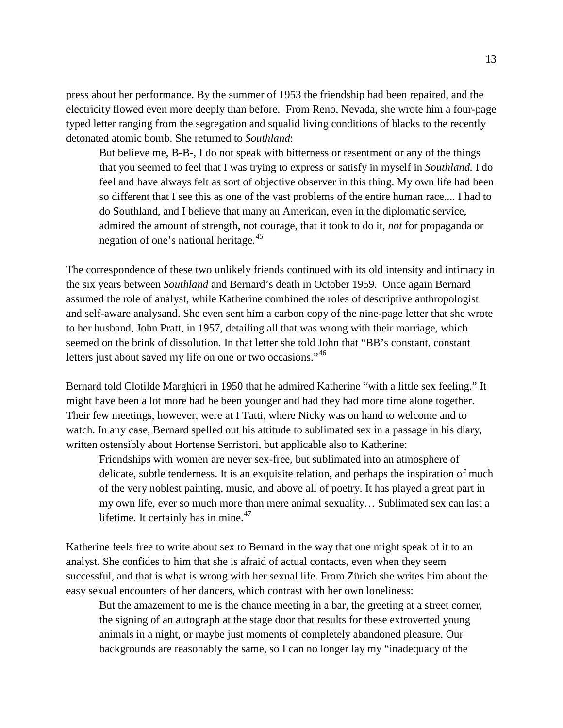press about her performance. By the summer of 1953 the friendship had been repaired, and the electricity flowed even more deeply than before. From Reno, Nevada, she wrote him a four-page typed letter ranging from the segregation and squalid living conditions of blacks to the recently detonated atomic bomb. She returned to *Southland*:

But believe me, B-B-, I do not speak with bitterness or resentment or any of the things that you seemed to feel that I was trying to express or satisfy in myself in *Southland.* I do feel and have always felt as sort of objective observer in this thing. My own life had been so different that I see this as one of the vast problems of the entire human race.... I had to do Southland, and I believe that many an American, even in the diplomatic service, admired the amount of strength, not courage, that it took to do it, *not* for propaganda or negation of one's national heritage.<sup>[45](#page-27-2)</sup>

The correspondence of these two unlikely friends continued with its old intensity and intimacy in the six years between *Southland* and Bernard's death in October 1959. Once again Bernard assumed the role of analyst, while Katherine combined the roles of descriptive anthropologist and self-aware analysand. She even sent him a carbon copy of the nine-page letter that she wrote to her husband, John Pratt, in 1957, detailing all that was wrong with their marriage, which seemed on the brink of dissolution. In that letter she told John that "BB's constant, constant letters just about saved my life on one or two occasions."<sup>46</sup>

Bernard told Clotilde Marghieri in 1950 that he admired Katherine "with a little sex feeling." It might have been a lot more had he been younger and had they had more time alone together. Their few meetings, however, were at I Tatti, where Nicky was on hand to welcome and to watch. In any case, Bernard spelled out his attitude to sublimated sex in a passage in his diary, written ostensibly about Hortense Serristori, but applicable also to Katherine:

Friendships with women are never sex-free, but sublimated into an atmosphere of delicate, subtle tenderness. It is an exquisite relation, and perhaps the inspiration of much of the very noblest painting, music, and above all of poetry. It has played a great part in my own life, ever so much more than mere animal sexuality… Sublimated sex can last a lifetime. It certainly has in mine.<sup>[47](#page-27-4)</sup>

Katherine feels free to write about sex to Bernard in the way that one might speak of it to an analyst. She confides to him that she is afraid of actual contacts, even when they seem successful, and that is what is wrong with her sexual life. From Zürich she writes him about the easy sexual encounters of her dancers, which contrast with her own loneliness:

But the amazement to me is the chance meeting in a bar, the greeting at a street corner, the signing of an autograph at the stage door that results for these extroverted young animals in a night, or maybe just moments of completely abandoned pleasure. Our backgrounds are reasonably the same, so I can no longer lay my "inadequacy of the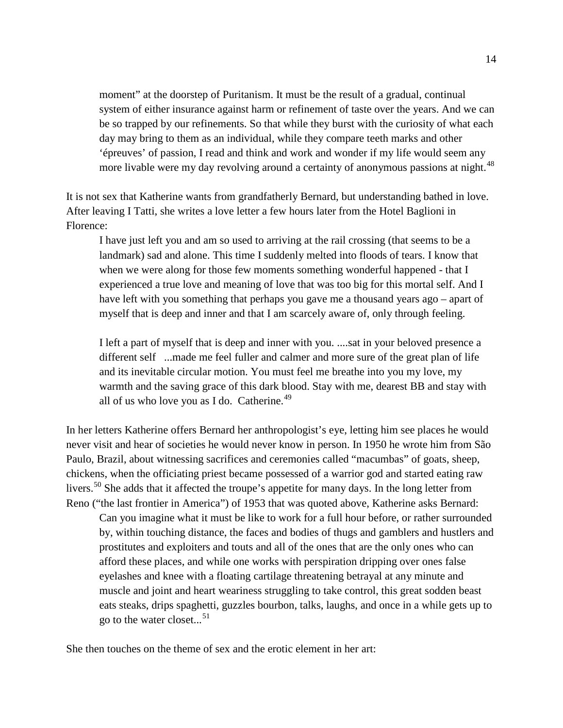moment" at the doorstep of Puritanism. It must be the result of a gradual, continual system of either insurance against harm or refinement of taste over the years. And we can be so trapped by our refinements. So that while they burst with the curiosity of what each day may bring to them as an individual, while they compare teeth marks and other 'épreuves' of passion, I read and think and work and wonder if my life would seem any more livable were my day revolving around a certainty of anonymous passions at night.<sup>[48](#page-27-5)</sup>

It is not sex that Katherine wants from grandfatherly Bernard, but understanding bathed in love. After leaving I Tatti, she writes a love letter a few hours later from the Hotel Baglioni in Florence:

I have just left you and am so used to arriving at the rail crossing (that seems to be a landmark) sad and alone. This time I suddenly melted into floods of tears. I know that when we were along for those few moments something wonderful happened - that I experienced a true love and meaning of love that was too big for this mortal self. And I have left with you something that perhaps you gave me a thousand years ago – apart of myself that is deep and inner and that I am scarcely aware of, only through feeling.

I left a part of myself that is deep and inner with you. ....sat in your beloved presence a different self ...made me feel fuller and calmer and more sure of the great plan of life and its inevitable circular motion. You must feel me breathe into you my love, my warmth and the saving grace of this dark blood. Stay with me, dearest BB and stay with all of us who love you as I do. Catherine. $49$ 

In her letters Katherine offers Bernard her anthropologist's eye, letting him see places he would never visit and hear of societies he would never know in person. In 1950 he wrote him from São Paulo, Brazil, about witnessing sacrifices and ceremonies called "macumbas" of goats, sheep, chickens, when the officiating priest became possessed of a warrior god and started eating raw livers.<sup>[50](#page-27-7)</sup> She adds that it affected the troupe's appetite for many days. In the long letter from Reno ("the last frontier in America") of 1953 that was quoted above, Katherine asks Bernard:

Can you imagine what it must be like to work for a full hour before, or rather surrounded by, within touching distance, the faces and bodies of thugs and gamblers and hustlers and prostitutes and exploiters and touts and all of the ones that are the only ones who can afford these places, and while one works with perspiration dripping over ones false eyelashes and knee with a floating cartilage threatening betrayal at any minute and muscle and joint and heart weariness struggling to take control, this great sodden beast eats steaks, drips spaghetti, guzzles bourbon, talks, laughs, and once in a while gets up to go to the water closet... [51](#page-27-8)

She then touches on the theme of sex and the erotic element in her art: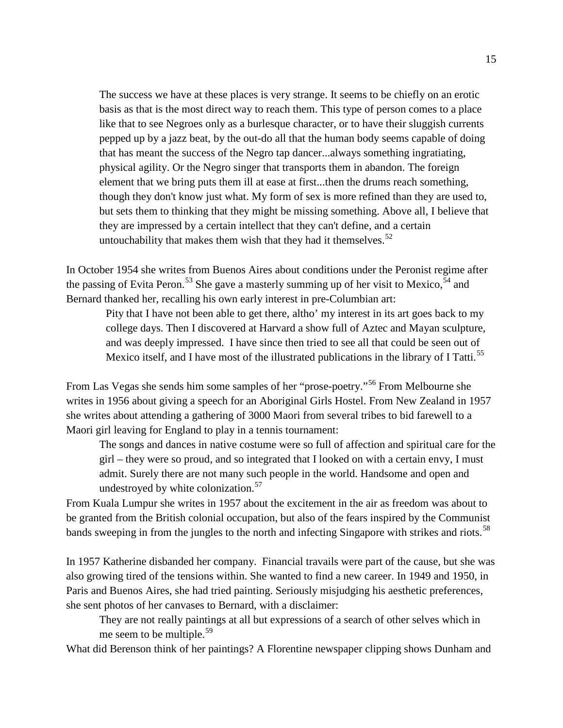The success we have at these places is very strange. It seems to be chiefly on an erotic basis as that is the most direct way to reach them. This type of person comes to a place like that to see Negroes only as a burlesque character, or to have their sluggish currents pepped up by a jazz beat, by the out-do all that the human body seems capable of doing that has meant the success of the Negro tap dancer...always something ingratiating, physical agility. Or the Negro singer that transports them in abandon. The foreign element that we bring puts them ill at ease at first...then the drums reach something, though they don't know just what. My form of sex is more refined than they are used to, but sets them to thinking that they might be missing something. Above all, I believe that they are impressed by a certain intellect that they can't define, and a certain untouchability that makes them wish that they had it themselves.<sup>[52](#page-27-9)</sup>

In October 1954 she writes from Buenos Aires about conditions under the Peronist regime after the passing of Evita Peron.<sup>[53](#page-27-10)</sup> She gave a masterly summing up of her visit to Mexico,<sup>[54](#page-27-11)</sup> and Bernard thanked her, recalling his own early interest in pre-Columbian art:

Pity that I have not been able to get there, altho' my interest in its art goes back to my college days. Then I discovered at Harvard a show full of Aztec and Mayan sculpture, and was deeply impressed. I have since then tried to see all that could be seen out of Mexico itself, and I have most of the illustrated publications in the library of I Tatti.<sup>[55](#page-27-12)</sup>

From Las Vegas she sends him some samples of her "prose-poetry."<sup>[56](#page-27-13)</sup> From Melbourne she writes in 1956 about giving a speech for an Aboriginal Girls Hostel. From New Zealand in 1957 she writes about attending a gathering of 3000 Maori from several tribes to bid farewell to a Maori girl leaving for England to play in a tennis tournament:

The songs and dances in native costume were so full of affection and spiritual care for the girl – they were so proud, and so integrated that I looked on with a certain envy, I must admit. Surely there are not many such people in the world. Handsome and open and undestroyed by white colonization.<sup>[57](#page-27-14)</sup>

From Kuala Lumpur she writes in 1957 about the excitement in the air as freedom was about to be granted from the British colonial occupation, but also of the fears inspired by the Communist bands sweeping in from the jungles to the north and infecting Singapore with strikes and riots.<sup>[58](#page-27-15)</sup>

In 1957 Katherine disbanded her company. Financial travails were part of the cause, but she was also growing tired of the tensions within. She wanted to find a new career. In 1949 and 1950, in Paris and Buenos Aires, she had tried painting. Seriously misjudging his aesthetic preferences, she sent photos of her canvases to Bernard, with a disclaimer:

They are not really paintings at all but expressions of a search of other selves which in me seem to be multiple. $59$ 

What did Berenson think of her paintings? A Florentine newspaper clipping shows Dunham and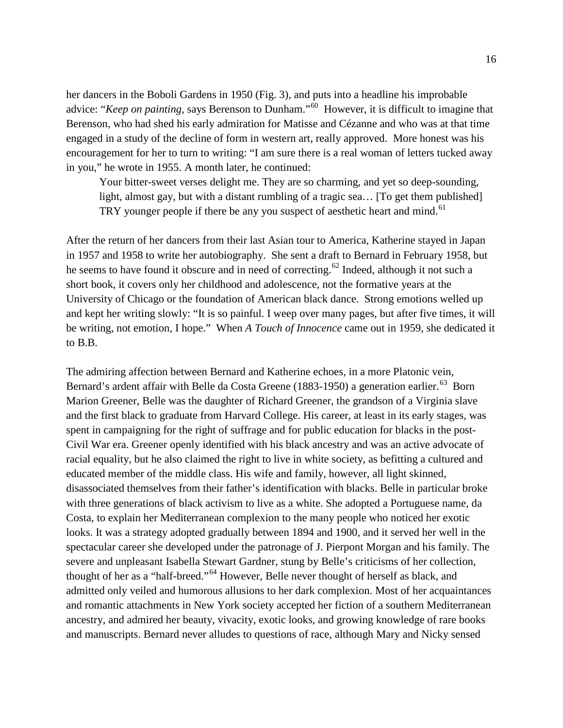her dancers in the Boboli Gardens in 1950 (Fig. 3), and puts into a headline his improbable advice: "*Keep on painting*, says Berenson to Dunham."<sup>[60](#page-27-17)</sup> However, it is difficult to imagine that Berenson, who had shed his early admiration for Matisse and Cézanne and who was at that time engaged in a study of the decline of form in western art, really approved. More honest was his encouragement for her to turn to writing: "I am sure there is a real woman of letters tucked away in you," he wrote in 1955. A month later, he continued:

Your bitter-sweet verses delight me. They are so charming, and yet so deep-sounding, light, almost gay, but with a distant rumbling of a tragic sea... [To get them published] TRY younger people if there be any you suspect of aesthetic heart and mind.<sup>[61](#page-27-18)</sup>

After the return of her dancers from their last Asian tour to America, Katherine stayed in Japan in 1957 and 1958 to write her autobiography. She sent a draft to Bernard in February 1958, but he seems to have found it obscure and in need of correcting.<sup>[62](#page-27-19)</sup> Indeed, although it not such a short book, it covers only her childhood and adolescence, not the formative years at the University of Chicago or the foundation of American black dance. Strong emotions welled up and kept her writing slowly: "It is so painful. I weep over many pages, but after five times, it will be writing, not emotion, I hope." When *A Touch of Innocence* came out in 1959, she dedicated it to B.B.

The admiring affection between Bernard and Katherine echoes, in a more Platonic vein, Bernard's ardent affair with Belle da Costa Greene (1883-1950) a generation earlier.<sup>[63](#page-27-20)</sup> Born Marion Greener, Belle was the daughter of Richard Greener, the grandson of a Virginia slave and the first black to graduate from Harvard College. His career, at least in its early stages, was spent in campaigning for the right of suffrage and for public education for blacks in the post-Civil War era. Greener openly identified with his black ancestry and was an active advocate of racial equality, but he also claimed the right to live in white society, as befitting a cultured and educated member of the middle class. His wife and family, however, all light skinned, disassociated themselves from their father's identification with blacks. Belle in particular broke with three generations of black activism to live as a white. She adopted a Portuguese name, da Costa, to explain her Mediterranean complexion to the many people who noticed her exotic looks. It was a strategy adopted gradually between 1894 and 1900, and it served her well in the spectacular career she developed under the patronage of J. Pierpont Morgan and his family. The severe and unpleasant Isabella Stewart Gardner, stung by Belle's criticisms of her collection, thought of her as a "half-breed."[64](#page-27-21) However, Belle never thought of herself as black, and admitted only veiled and humorous allusions to her dark complexion. Most of her acquaintances and romantic attachments in New York society accepted her fiction of a southern Mediterranean ancestry, and admired her beauty, vivacity, exotic looks, and growing knowledge of rare books and manuscripts. Bernard never alludes to questions of race, although Mary and Nicky sensed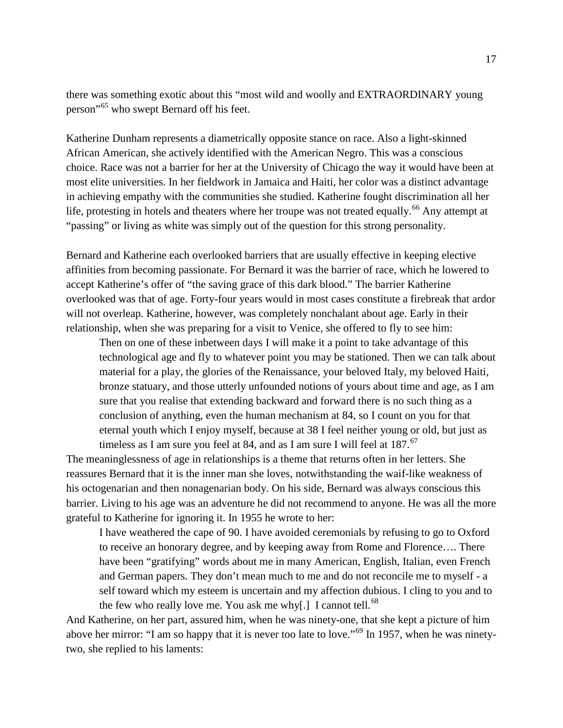there was something exotic about this "most wild and woolly and EXTRAORDINARY young person"[65](#page-27-22) who swept Bernard off his feet.

Katherine Dunham represents a diametrically opposite stance on race. Also a light-skinned African American, she actively identified with the American Negro. This was a conscious choice. Race was not a barrier for her at the University of Chicago the way it would have been at most elite universities. In her fieldwork in Jamaica and Haiti, her color was a distinct advantage in achieving empathy with the communities she studied. Katherine fought discrimination all her life, protesting in hotels and theaters where her troupe was not treated equally.<sup>[66](#page-27-23)</sup> Any attempt at "passing" or living as white was simply out of the question for this strong personality.

Bernard and Katherine each overlooked barriers that are usually effective in keeping elective affinities from becoming passionate. For Bernard it was the barrier of race, which he lowered to accept Katherine's offer of "the saving grace of this dark blood." The barrier Katherine overlooked was that of age. Forty-four years would in most cases constitute a firebreak that ardor will not overleap. Katherine, however, was completely nonchalant about age. Early in their relationship, when she was preparing for a visit to Venice, she offered to fly to see him:

Then on one of these inbetween days I will make it a point to take advantage of this technological age and fly to whatever point you may be stationed. Then we can talk about material for a play, the glories of the Renaissance, your beloved Italy, my beloved Haiti, bronze statuary, and those utterly unfounded notions of yours about time and age, as I am sure that you realise that extending backward and forward there is no such thing as a conclusion of anything, even the human mechanism at 84, so I count on you for that eternal youth which I enjoy myself, because at 38 I feel neither young or old, but just as timeless as I am sure you feel at 84, and as I am sure I will feel at 187.<sup>[67](#page-27-24)</sup>

The meaninglessness of age in relationships is a theme that returns often in her letters. She reassures Bernard that it is the inner man she loves, notwithstanding the waif-like weakness of his octogenarian and then nonagenarian body. On his side, Bernard was always conscious this barrier. Living to his age was an adventure he did not recommend to anyone. He was all the more grateful to Katherine for ignoring it. In 1955 he wrote to her:

I have weathered the cape of 90. I have avoided ceremonials by refusing to go to Oxford to receive an honorary degree, and by keeping away from Rome and Florence…. There have been "gratifying" words about me in many American, English, Italian, even French and German papers. They don't mean much to me and do not reconcile me to myself - a self toward which my esteem is uncertain and my affection dubious. I cling to you and to the few who really love me. You ask me why[.] I cannot tell.<sup>[68](#page-27-25)</sup>

And Katherine, on her part, assured him, when he was ninety-one, that she kept a picture of him above her mirror: "I am so happy that it is never too late to love."<sup>[69](#page-27-26)</sup> In 1957, when he was ninetytwo, she replied to his laments: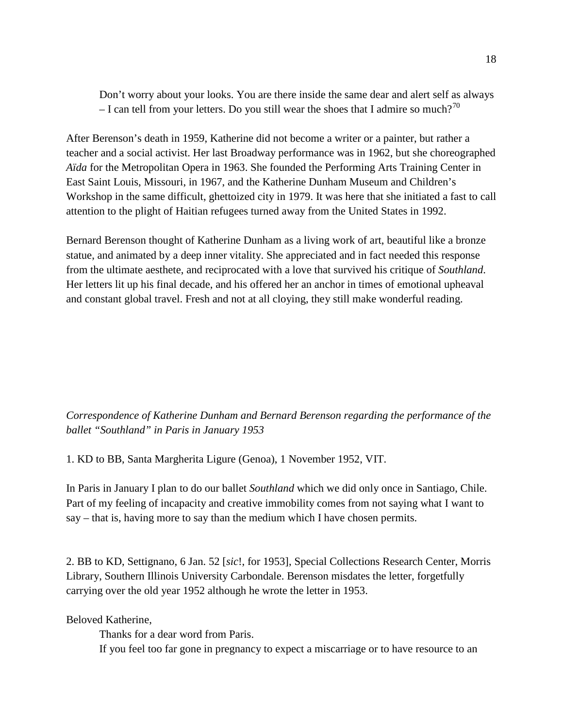Don't worry about your looks. You are there inside the same dear and alert self as always – I can tell from your letters. Do you still wear the shoes that I admire so much?<sup>[70](#page-27-27)</sup>

After Berenson's death in 1959, Katherine did not become a writer or a painter, but rather a teacher and a social activist. Her last Broadway performance was in 1962, but she choreographed *Aïda* for the Metropolitan Opera in 1963. She founded the Performing Arts Training Center in East Saint Louis, Missouri, in 1967, and the Katherine Dunham Museum and Children's Workshop in the same difficult, ghettoized city in 1979. It was here that she initiated a fast to call attention to the plight of Haitian refugees turned away from the United States in 1992.

Bernard Berenson thought of Katherine Dunham as a living work of art, beautiful like a bronze statue, and animated by a deep inner vitality. She appreciated and in fact needed this response from the ultimate aesthete, and reciprocated with a love that survived his critique of *Southland*. Her letters lit up his final decade, and his offered her an anchor in times of emotional upheaval and constant global travel. Fresh and not at all cloying, they still make wonderful reading.

*Correspondence of Katherine Dunham and Bernard Berenson regarding the performance of the ballet "Southland" in Paris in January 1953*

1. KD to BB, Santa Margherita Ligure (Genoa), 1 November 1952, VIT.

In Paris in January I plan to do our ballet *Southland* which we did only once in Santiago, Chile. Part of my feeling of incapacity and creative immobility comes from not saying what I want to say – that is, having more to say than the medium which I have chosen permits.

2. BB to KD, Settignano, 6 Jan. 52 [*sic*!, for 1953], Special Collections Research Center, Morris Library, Southern Illinois University Carbondale. Berenson misdates the letter, forgetfully carrying over the old year 1952 although he wrote the letter in 1953.

Beloved Katherine,

Thanks for a dear word from Paris.

If you feel too far gone in pregnancy to expect a miscarriage or to have resource to an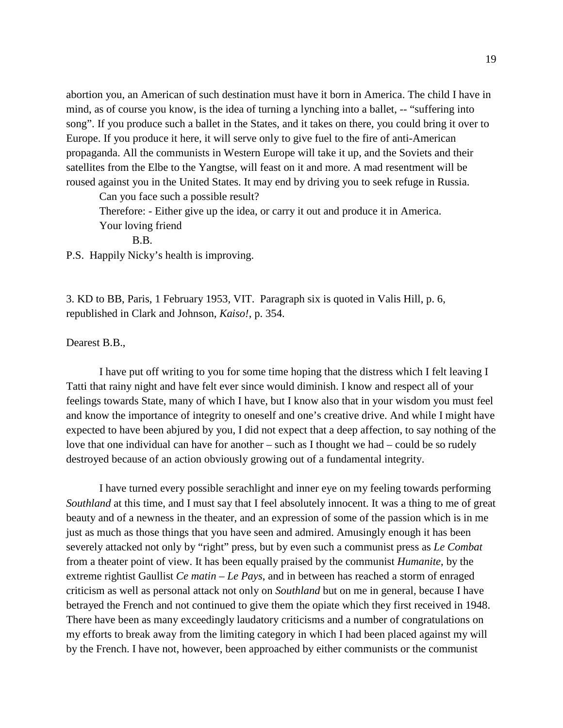abortion you, an American of such destination must have it born in America. The child I have in mind, as of course you know, is the idea of turning a lynching into a ballet, -- "suffering into song". If you produce such a ballet in the States, and it takes on there, you could bring it over to Europe. If you produce it here, it will serve only to give fuel to the fire of anti-American propaganda. All the communists in Western Europe will take it up, and the Soviets and their satellites from the Elbe to the Yangtse, will feast on it and more. A mad resentment will be roused against you in the United States. It may end by driving you to seek refuge in Russia.

Can you face such a possible result?

Therefore: - Either give up the idea, or carry it out and produce it in America. Your loving friend

B.B.

P.S. Happily Nicky's health is improving.

3. KD to BB, Paris, 1 February 1953, VIT. Paragraph six is quoted in Valis Hill, p. 6, republished in Clark and Johnson, *Kaiso!*, p. 354.

Dearest B.B.,

I have put off writing to you for some time hoping that the distress which I felt leaving I Tatti that rainy night and have felt ever since would diminish. I know and respect all of your feelings towards State, many of which I have, but I know also that in your wisdom you must feel and know the importance of integrity to oneself and one's creative drive. And while I might have expected to have been abjured by you, I did not expect that a deep affection, to say nothing of the love that one individual can have for another – such as I thought we had – could be so rudely destroyed because of an action obviously growing out of a fundamental integrity.

I have turned every possible serachlight and inner eye on my feeling towards performing *Southland* at this time, and I must say that I feel absolutely innocent. It was a thing to me of great beauty and of a newness in the theater, and an expression of some of the passion which is in me just as much as those things that you have seen and admired. Amusingly enough it has been severely attacked not only by "right" press, but by even such a communist press as *Le Combat* from a theater point of view. It has been equally praised by the communist *Humanite*, by the extreme rightist Gaullist *Ce matin – Le Pays*, and in between has reached a storm of enraged criticism as well as personal attack not only on *Southland* but on me in general, because I have betrayed the French and not continued to give them the opiate which they first received in 1948. There have been as many exceedingly laudatory criticisms and a number of congratulations on my efforts to break away from the limiting category in which I had been placed against my will by the French. I have not, however, been approached by either communists or the communist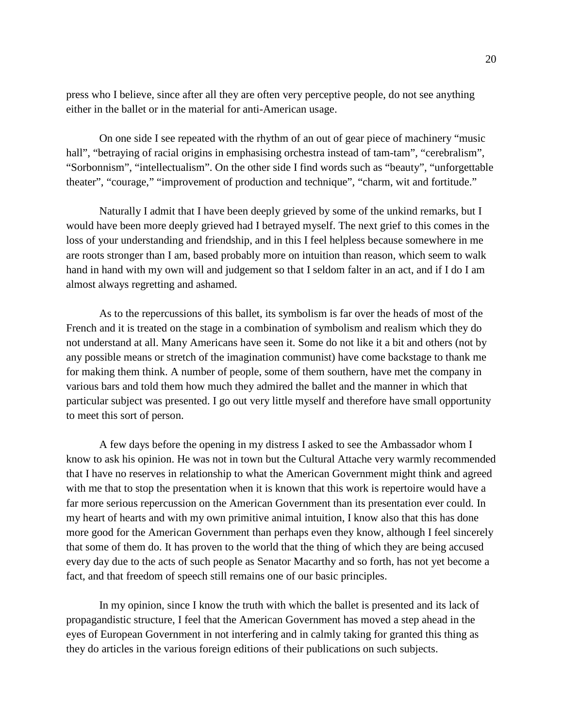press who I believe, since after all they are often very perceptive people, do not see anything either in the ballet or in the material for anti-American usage.

On one side I see repeated with the rhythm of an out of gear piece of machinery "music hall", "betraying of racial origins in emphasising orchestra instead of tam-tam", "cerebralism", "Sorbonnism", "intellectualism". On the other side I find words such as "beauty", "unforgettable theater", "courage," "improvement of production and technique", "charm, wit and fortitude."

Naturally I admit that I have been deeply grieved by some of the unkind remarks, but I would have been more deeply grieved had I betrayed myself. The next grief to this comes in the loss of your understanding and friendship, and in this I feel helpless because somewhere in me are roots stronger than I am, based probably more on intuition than reason, which seem to walk hand in hand with my own will and judgement so that I seldom falter in an act, and if I do I am almost always regretting and ashamed.

As to the repercussions of this ballet, its symbolism is far over the heads of most of the French and it is treated on the stage in a combination of symbolism and realism which they do not understand at all. Many Americans have seen it. Some do not like it a bit and others (not by any possible means or stretch of the imagination communist) have come backstage to thank me for making them think. A number of people, some of them southern, have met the company in various bars and told them how much they admired the ballet and the manner in which that particular subject was presented. I go out very little myself and therefore have small opportunity to meet this sort of person.

A few days before the opening in my distress I asked to see the Ambassador whom I know to ask his opinion. He was not in town but the Cultural Attache very warmly recommended that I have no reserves in relationship to what the American Government might think and agreed with me that to stop the presentation when it is known that this work is repertoire would have a far more serious repercussion on the American Government than its presentation ever could. In my heart of hearts and with my own primitive animal intuition, I know also that this has done more good for the American Government than perhaps even they know, although I feel sincerely that some of them do. It has proven to the world that the thing of which they are being accused every day due to the acts of such people as Senator Macarthy and so forth, has not yet become a fact, and that freedom of speech still remains one of our basic principles.

In my opinion, since I know the truth with which the ballet is presented and its lack of propagandistic structure, I feel that the American Government has moved a step ahead in the eyes of European Government in not interfering and in calmly taking for granted this thing as they do articles in the various foreign editions of their publications on such subjects.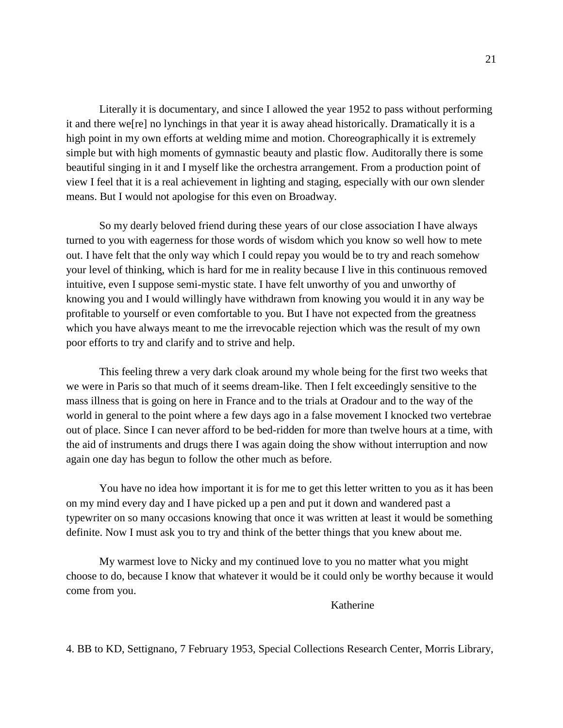Literally it is documentary, and since I allowed the year 1952 to pass without performing it and there we[re] no lynchings in that year it is away ahead historically. Dramatically it is a high point in my own efforts at welding mime and motion. Choreographically it is extremely simple but with high moments of gymnastic beauty and plastic flow. Auditorally there is some beautiful singing in it and I myself like the orchestra arrangement. From a production point of view I feel that it is a real achievement in lighting and staging, especially with our own slender means. But I would not apologise for this even on Broadway.

So my dearly beloved friend during these years of our close association I have always turned to you with eagerness for those words of wisdom which you know so well how to mete out. I have felt that the only way which I could repay you would be to try and reach somehow your level of thinking, which is hard for me in reality because I live in this continuous removed intuitive, even I suppose semi-mystic state. I have felt unworthy of you and unworthy of knowing you and I would willingly have withdrawn from knowing you would it in any way be profitable to yourself or even comfortable to you. But I have not expected from the greatness which you have always meant to me the irrevocable rejection which was the result of my own poor efforts to try and clarify and to strive and help.

This feeling threw a very dark cloak around my whole being for the first two weeks that we were in Paris so that much of it seems dream-like. Then I felt exceedingly sensitive to the mass illness that is going on here in France and to the trials at Oradour and to the way of the world in general to the point where a few days ago in a false movement I knocked two vertebrae out of place. Since I can never afford to be bed-ridden for more than twelve hours at a time, with the aid of instruments and drugs there I was again doing the show without interruption and now again one day has begun to follow the other much as before.

You have no idea how important it is for me to get this letter written to you as it has been on my mind every day and I have picked up a pen and put it down and wandered past a typewriter on so many occasions knowing that once it was written at least it would be something definite. Now I must ask you to try and think of the better things that you knew about me.

My warmest love to Nicky and my continued love to you no matter what you might choose to do, because I know that whatever it would be it could only be worthy because it would come from you.

Katherine

4. BB to KD, Settignano, 7 February 1953, Special Collections Research Center, Morris Library,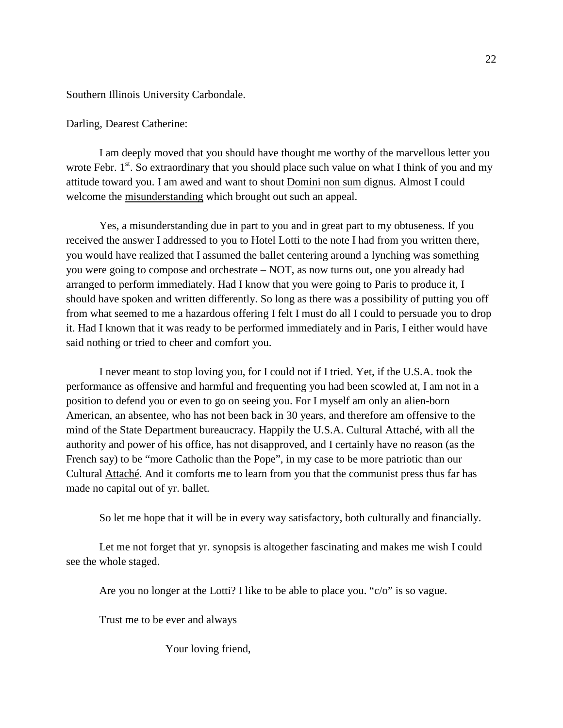### Southern Illinois University Carbondale.

## Darling, Dearest Catherine:

I am deeply moved that you should have thought me worthy of the marvellous letter you wrote Febr.  $1<sup>st</sup>$ . So extraordinary that you should place such value on what I think of you and my attitude toward you. I am awed and want to shout Domini non sum dignus. Almost I could welcome the misunderstanding which brought out such an appeal.

Yes, a misunderstanding due in part to you and in great part to my obtuseness. If you received the answer I addressed to you to Hotel Lotti to the note I had from you written there, you would have realized that I assumed the ballet centering around a lynching was something you were going to compose and orchestrate – NOT, as now turns out, one you already had arranged to perform immediately. Had I know that you were going to Paris to produce it, I should have spoken and written differently. So long as there was a possibility of putting you off from what seemed to me a hazardous offering I felt I must do all I could to persuade you to drop it. Had I known that it was ready to be performed immediately and in Paris, I either would have said nothing or tried to cheer and comfort you.

I never meant to stop loving you, for I could not if I tried. Yet, if the U.S.A. took the performance as offensive and harmful and frequenting you had been scowled at, I am not in a position to defend you or even to go on seeing you. For I myself am only an alien-born American, an absentee, who has not been back in 30 years, and therefore am offensive to the mind of the State Department bureaucracy. Happily the U.S.A. Cultural Attaché, with all the authority and power of his office, has not disapproved, and I certainly have no reason (as the French say) to be "more Catholic than the Pope", in my case to be more patriotic than our Cultural Attaché. And it comforts me to learn from you that the communist press thus far has made no capital out of yr. ballet.

So let me hope that it will be in every way satisfactory, both culturally and financially.

Let me not forget that yr. synopsis is altogether fascinating and makes me wish I could see the whole staged.

Are you no longer at the Lotti? I like to be able to place you. "c/o" is so vague.

Trust me to be ever and always

Your loving friend,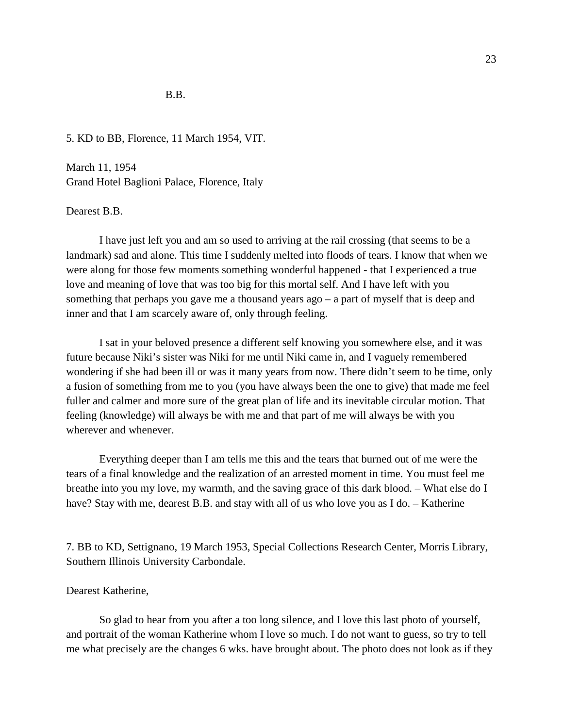## B.B.

#### 5. KD to BB, Florence, 11 March 1954, VIT.

March 11, 1954 Grand Hotel Baglioni Palace, Florence, Italy

### Dearest B.B.

I have just left you and am so used to arriving at the rail crossing (that seems to be a landmark) sad and alone. This time I suddenly melted into floods of tears. I know that when we were along for those few moments something wonderful happened - that I experienced a true love and meaning of love that was too big for this mortal self. And I have left with you something that perhaps you gave me a thousand years ago – a part of myself that is deep and inner and that I am scarcely aware of, only through feeling.

I sat in your beloved presence a different self knowing you somewhere else, and it was future because Niki's sister was Niki for me until Niki came in, and I vaguely remembered wondering if she had been ill or was it many years from now. There didn't seem to be time, only a fusion of something from me to you (you have always been the one to give) that made me feel fuller and calmer and more sure of the great plan of life and its inevitable circular motion. That feeling (knowledge) will always be with me and that part of me will always be with you wherever and whenever.

Everything deeper than I am tells me this and the tears that burned out of me were the tears of a final knowledge and the realization of an arrested moment in time. You must feel me breathe into you my love, my warmth, and the saving grace of this dark blood. – What else do I have? Stay with me, dearest B.B. and stay with all of us who love you as I do. – Katherine

7. BB to KD, Settignano, 19 March 1953, Special Collections Research Center, Morris Library, Southern Illinois University Carbondale.

## Dearest Katherine,

So glad to hear from you after a too long silence, and I love this last photo of yourself, and portrait of the woman Katherine whom I love so much. I do not want to guess, so try to tell me what precisely are the changes 6 wks. have brought about. The photo does not look as if they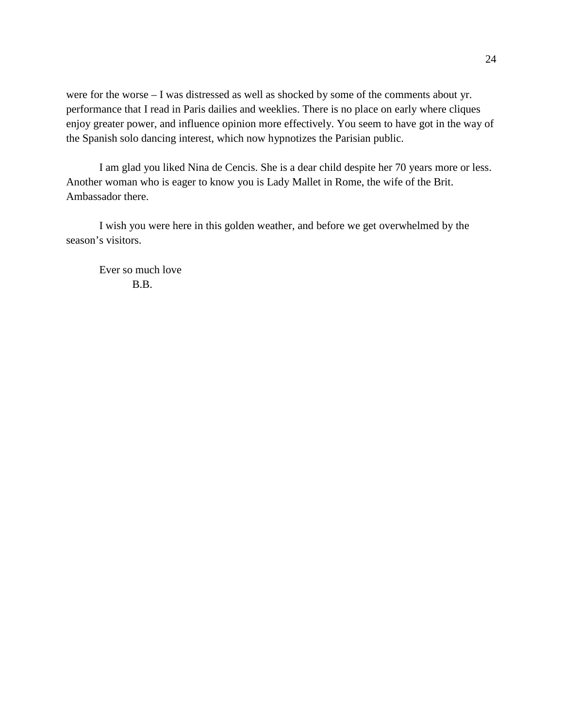were for the worse – I was distressed as well as shocked by some of the comments about yr. performance that I read in Paris dailies and weeklies. There is no place on early where cliques enjoy greater power, and influence opinion more effectively. You seem to have got in the way of the Spanish solo dancing interest, which now hypnotizes the Parisian public.

I am glad you liked Nina de Cencis. She is a dear child despite her 70 years more or less. Another woman who is eager to know you is Lady Mallet in Rome, the wife of the Brit. Ambassador there.

I wish you were here in this golden weather, and before we get overwhelmed by the season's visitors.

Ever so much love B.B.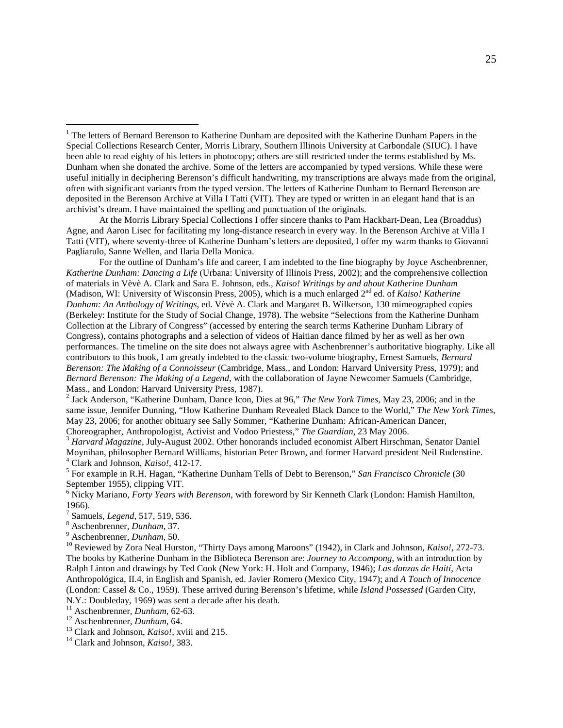At the Morris Library Special Collections I offer sincere thanks to Pam Hackbart-Dean, Lea (Broaddus) Agne, and Aaron Lisec for facilitating my long-distance research in every way. In the Berenson Archive at Villa I Tatti (VIT), where seventy-three of Katherine Dunham's letters are deposited, I offer my warm thanks to Giovanni Pagliarulo, Sanne Wellen, and Ilaria Della Monica.

For the outline of Dunham's life and career, I am indebted to the fine biography by Joyce Aschenbrenner, *Katherine Dunham: Dancing a Life* (Urbana: University of Illinois Press, 2002); and the comprehensive collection of materials in Vèvè A. Clark and Sara E. Johnson, eds.*, Kaiso! Writings by and about Katherine Dunham* (Madison, WI: University of Wisconsin Press, 2005), which is a much enlarged 2<sup>nd</sup> ed. of *Kaiso! Katherine Dunham: An Anthology of Writings*, ed. Vèvè A. Clark and Margaret B. Wilkerson, 130 mimeographed copies (Berkeley: Institute for the Study of Social Change, 1978). The website "Selections from the Katherine Dunham Collection at the Library of Congress" (accessed by entering the search terms Katherine Dunham Library of Congress), contains photographs and a selection of videos of Haitian dance filmed by her as well as her own performances. The timeline on the site does not always agree with Aschenbrenner's authoritative biography. Like all contributors to this book, I am greatly indebted to the classic two-volume biography, Ernest Samuels, *Bernard Berenson: The Making of a Connoisseur* (Cambridge, Mass., and London: Harvard University Press, 1979); and *Bernard Berenson: The Making of a Legend*, with the collaboration of Jayne Newcomer Samuels (Cambridge,

<span id="page-25-1"></span><sup>2</sup> Jack Anderson, "Katherine Dunham, Dance Icon, Dies at 96," *The New York Times*, May 23, 2006; and in the same issue, Jennifer Dunning, "How Katherine Dunham Revealed Black Dance to the World," *The New York Times*, May 23, 2006; for another obituary see Sally Sommer, "Katherine Dunham: African-American Dancer, Choreographer, Anthropologist, Activist and Vodoo Priestess," The Guardian, 23 May 2006.

<span id="page-25-2"></span><sup>3</sup> Harvard Magazine, July-August 2002. Other honorands included economist Albert Hirschman, Senator Daniel<br>Moynihan, philosopher Bernard Williams, historian Peter Brown, and former Harvard president Neil Rudenstine.

<span id="page-25-4"></span><span id="page-25-3"></span><sup>4</sup> Clark and Johnson, *Kaiso!*, 412-17.<br><sup>5</sup> For example in R.H. Hagan, "Katherine Dunham Tells of Debt to Berenson," San Francisco Chronicle (30 September 1955), clipping VIT.

<span id="page-25-5"></span><sup>6</sup> Nicky Mariano, *Forty Years with Berenson*, with foreword by Sir Kenneth Clark (London: Hamish Hamilton,

<span id="page-25-7"></span>

<span id="page-25-9"></span><span id="page-25-8"></span>

<span id="page-25-6"></span>1966).<br><sup>7</sup> Samuels, *Legend*, 517, 519, 536.<br><sup>8</sup> Aschenbrenner, *Dunham*, 37.<br><sup>9</sup> Aschenbrenner, *Dunham*, 50.<br><sup>10</sup> Reviewed by Zora Neal Hurston, "Thirty Days among Maroons" (1942), in Clark and Johnson, *Kaiso!*, 272-73. The books by Katherine Dunham in the Biblioteca Berenson are: *Journey to Accompong*, with an introduction by Ralph Linton and drawings by Ted Cook (New York: H. Holt and Company, 1946); *Las danzas de Haití*, Acta Anthropológica, II.4, in English and Spanish, ed. Javier Romero (Mexico City, 1947); and *A Touch of Innocence* (London: Cassel & Co., 1959). These arrived during Berenson's lifetime, while *Island Possessed* (Garden City,

<span id="page-25-10"></span>N.Y.: Doubleday, 1969) was sent a decade after his death.<br>
<sup>11</sup> Aschenbrenner, *Dunham*, 62-63.<br>
<sup>12</sup> Aschenbrenner, *Dunham*, 64.<br>
<sup>13</sup> Clark and Johnson, *Kaiso!*, xviii and 215.<br>
<sup>14</sup> Clark and Johnson, *Kaiso!*, 383.

<span id="page-25-11"></span>

<span id="page-25-12"></span>

<span id="page-25-13"></span>

<span id="page-25-0"></span><sup>&</sup>lt;sup>1</sup> The letters of Bernard Berenson to Katherine Dunham are deposited with the Katherine Dunham Papers in the Special Collections Research Center, Morris Library, Southern Illinois University at Carbondale (SIUC). I have been able to read eighty of his letters in photocopy; others are still restricted under the terms established by Ms. Dunham when she donated the archive. Some of the letters are accompanied by typed versions. While these were useful initially in deciphering Berenson's difficult handwriting, my transcriptions are always made from the original, often with significant variants from the typed version. The letters of Katherine Dunham to Bernard Berenson are deposited in the Berenson Archive at Villa I Tatti (VIT). They are typed or written in an elegant hand that is an archivist's dream. I have maintained the spelling and punctuation of the originals.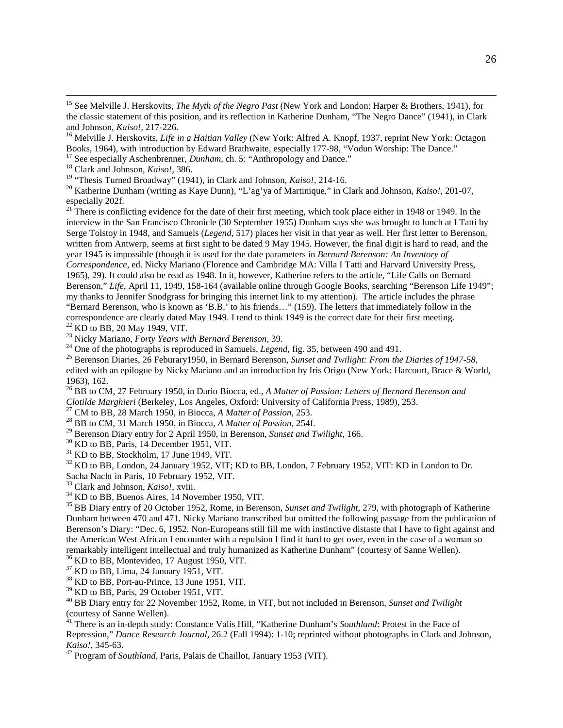<span id="page-26-5"></span><span id="page-26-4"></span><sup>20</sup> Katherine Dunham (writing as Kaye Dunn), "L'ag'ya of Martinique," in Clark and Johnson, *Kaiso!*, 201-07,

<span id="page-26-6"></span>especially 202f.<br><sup>21</sup> There is conflicting evidence for the date of their first meeting, which took place either in 1948 or 1949. In the interview in the San Francisco Chronicle (30 September 1955) Dunham says she was brought to lunch at I Tatti by Serge Tolstoy in 1948, and Samuels (*Legend*, 517) places her visit in that year as well. Her first letter to Berenson, written from Antwerp, seems at first sight to be dated 9 May 1945. However, the final digit is hard to read, and the year 1945 is impossible (though it is used for the date parameters in *Bernard Berenson: An Inventory of Correspondence*, ed. Nicky Mariano (Florence and Cambridge MA: Villa I Tatti and Harvard University Press, 1965), 29). It could also be read as 1948. In it, however, Katherine refers to the article, "Life Calls on Bernard Berenson," Life, April 11, 1949, 158-164 (available online through Google Books, searching "Berenson Life 1949"; my thanks to Jennifer Snodgrass for bringing this internet link to my attention). The article includes the phrase "Bernard Berenson, who is known as 'B.B.' to his friends…" (159). The letters that immediately follow in the correspondence are clearly dated May 1949. I tend to think 1949 is the correct date for their first meeting.<br>
<sup>22</sup> KD to BB, 20 May 1949, VIT.<br>
<sup>23</sup> Nicky Mariano, *Forty Years with Bernard Berenson*, 39.<br>
<sup>24</sup> One of the

<span id="page-26-8"></span><span id="page-26-7"></span>

<span id="page-26-10"></span><span id="page-26-9"></span>edited with an epilogue by Nicky Mariano and an introduction by Iris Origo (New York: Harcourt, Brace & World,

<span id="page-26-11"></span>1963), 162.<br><sup>26</sup> BB to CM, 27 February 1950, in Dario Biocca, ed., *A Matter of Passion: Letters of Bernard Berenson and* Clotilde Marghieri (Berkeley, Los Angeles, Oxford: University of California Press, 1989), 253.<br><sup>27</sup> CM to BB, 28 March 1950, in Biocca, *A Matter of Passion*, 253.<br><sup>28</sup> BB to CM, 31 March 1950, in Biocca, *A Matter of Pas* 

<span id="page-26-12"></span>

<span id="page-26-13"></span>

<span id="page-26-16"></span><span id="page-26-15"></span><span id="page-26-14"></span><sup>30</sup> KD to BB, Paris, 14 December 1951, VIT.<br><sup>31</sup> KD to BB, Stockholm, 17 June 1949, VIT.<br><sup>32</sup> KD to BB, London, 24 January 1952, VIT; KD to BB, London, 7 February 1952, VIT: KD in London to Dr.

<span id="page-26-17"></span>Sacha Nacht in Paris, 10 February 1952, VIT.<br><sup>33</sup> Clark and Johnson, *Kaiso!*, xviii.

<span id="page-26-20"></span><span id="page-26-19"></span><span id="page-26-18"></span><sup>34</sup> KD to BB, Buenos Aires, 14 November 1950, VIT.<br><sup>35</sup> BB Diary entry of 20 October 1952, Rome, in Berenson, *Sunset and Twilight*, 279, with photograph of Katherine Dunham between 470 and 471. Nicky Mariano transcribed but omitted the following passage from the publication of Berenson's Diary: "Dec. 6, 1952. Non-Europeans still fill me with instinctive distaste that I have to fight against and the American West African I encounter with a repulsion I find it hard to get over, even in the case of a woman so remarkably intelligent intellectual and truly humanized as Katherine Dunham" (courtesy of Sanne Wellen).<br><sup>36</sup> KD to BB, Montevideo, 17 August 1950, VIT.

<span id="page-26-23"></span><span id="page-26-22"></span><span id="page-26-21"></span><sup>37</sup> KD to BB, Lima, 24 January 1951, VIT.<br><sup>38</sup> KD to BB, Port-au-Prince, 13 June 1951, VIT.<br><sup>39</sup> KD to BB, Paris, 29 October 1951, VIT.

<span id="page-26-25"></span><span id="page-26-24"></span><sup>40</sup> BB Diary entry for 22 November 1952, Rome, in VIT, but not included in Berenson, *Sunset and Twilight* (courtesy of Sanne Wellen). <sup>41</sup> There is an in-depth study: Constance Valis Hill, "Katherine Dunham's *Southland*: Protest in the Face of

<span id="page-26-26"></span>Repression," *Dance Research Journal*, 26.2 (Fall 1994): 1-10; reprinted without photographs in Clark and Johnson,

<span id="page-26-27"></span><sup>42</sup> Program of *Southland*, Paris, Palais de Chaillot, January 1953 (VIT).

<span id="page-26-0"></span> <sup>15</sup> See Melville J. Herskovits, *The Myth of the Negro Past* (New York and London: Harper & Brothers, 1941), for the classic statement of this position, and its reflection in Katherine Dunham, "The Negro Dance" (1941), in Clark and Johnson, *Kaiso!*, 217-226.<br><sup>16</sup> Melville J. Herskovits, *Life in a Haitian Valley* (New York: Alfred A. Knopf, 1937, reprint New York: Octagon

<span id="page-26-1"></span>Books, 1964), with introduction by Edward Brathwaite, especially 177-98, "Vodun Worship: The Dance."<br><sup>17</sup> See especially Aschenbrenner, *Dunham*, ch. 5: "Anthropology and Dance." <sup>18</sup> Clark and Johnson, *Kaiso!*, 386.<br><sup>19</sup>

<span id="page-26-2"></span>

<span id="page-26-3"></span>